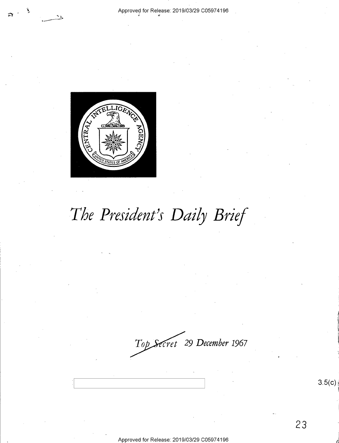

.... ---·

# *The President}s Daily Brief*

*cret 29 December* **1967** 

Approved for Release: 2019/03/29 C0597 4196

 $3.5(c)$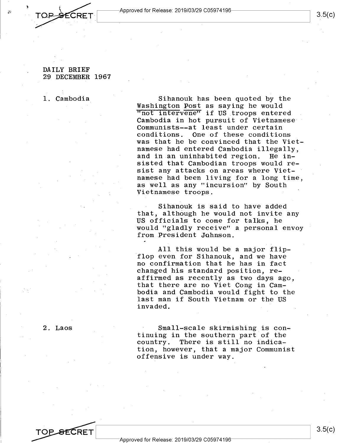Approved for Release: 2019/03/29 C05974196----------~I ~--~------------------------~

### DAILY BRIEF 29 DECEMBER 1967

CRFT

1. Cambodia

Sihanouk has been quoted by the Washington Post as saying he would "not intervene" if US troops entered Cambodia in hot pursuit of Vietnamese Communists--at least under certain conditions. One of these conditions was that he be convinced that the Vietnamese had entered Cambodia illegally,<br>and in an uninhabited region. He inand in an uninhabited region. sisted that Cambodian troops would resist any attacks on areas where Vietnamese had been living for a long time, as well as any "incursion" by South Vietnamese troops.

Sihanouk is said to have added that, although he would not invite any US officials to come for talks, he would "gladly receive" a personal envoy from President Johnson.

All this would be a major flipflop even for Sihanouk, and we have no confirmation that he has in fact changed his standard position, reaffirmed as recently as two days ago, that there are no Viet Cong in Cambodia and Cambodia would fight to the last man if South Vietnam or the US invaded.

2. Laos

Small-scale skirmishing is continuing in the southern part of the country. There is still no indication, however, that a major Communist offensive is under way.

3.5(c)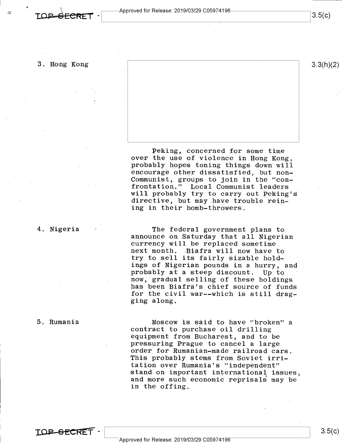\ **T.QJ3 SEC~Er** 

 $3.3(h)(2)$ 

 $3.5(c)$ 

3. Hong Kong

.Peking, concerned for some time over the use of violence in Hong Kong, probably hopes toning things down will encourage other dissatisfied, but non-Communist, groups to join in the "confrontation." Local Communist leaders will probably try to carry out Peking's directive, but may have trouble reining in their bomb-throwers.

4. Nigeria

The federal government plans to announce on Saturday that all Nigerian currency will be replaced sometime next month. Biafra will now have to try to sell its fairly sizable holdings of Nigerian pounds in a hurry, and probably at a steep discount. Up to now, gradual selling of these holdings has been Biafra's chief source of funds for the civil war--which is still dragging along.

5. Rumania

Moscow is said to have "broken" a contract to purchase oil drilling equipment from Bucharest, and to be pressuring Prague to cancel a large order for Rumanian-made railroad cars. This probably stems from Soviet irritation over Rumania's "independent" stand on important international issues, and more such economic reprisals may be in the offing.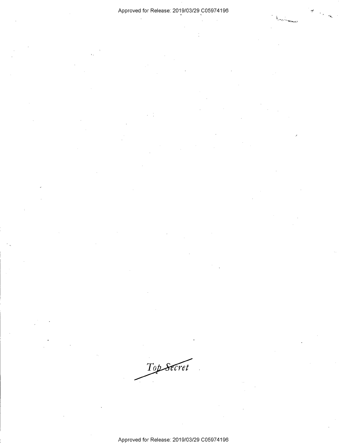### Approved for Release: 2019/03/29 C05974196

Top Secret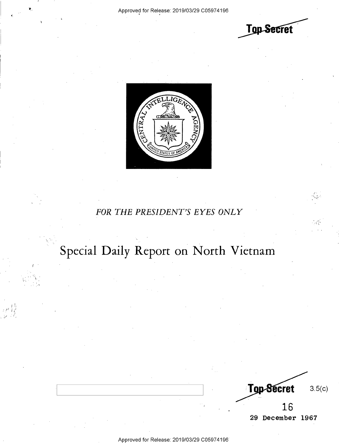$\epsilon$ 

I I. .: / <sup>1</sup> ' I/  $($ 

**Top Secret** 



## *FOR THE PRESIDENT'S EYES ONLY*

## Special Daily Report on North Vietnam

Top-Secret 3.5(c) 16 **29 December 1967** 

Approved for Release: 2019/03/29 C0597 4196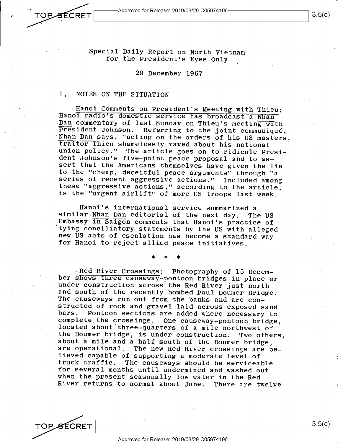**OPSECRET** 

•

Special Daily Report on North Vietnam for the President's Eyes Only

29 December 1967

#### I. NOTES ON THE SITUATION

. Hanoi Comments on President's Meeting with Thieu: Hanoi radio's domestic service has broadcast a Nhan Dan commentary of last Sunday on Thieu's meeting with President Johnson. Referring to the joint communique, Nhan Dan says, "acting on the orders of his US masters, traitor Thieu shamelessly raved about his national union policy." The article goes on to ridicule President Johnson's five-point peace proposal and to assert that the Americans themselves have given the lie to the "cheap, deceitful peace arguments" through "a series of recent aggressive actions." Included among these "aggressive actions," according to the article, is the "urgent airlift" of. more US troops last week.

Hanoi's international service summarized <sup>a</sup> similar Nhan Dan editorial of the next day. The US Embassy in Saigon comments that Hanoi's practice of tying conciliatory statements by the US with alleged new US acts of escalation \_has become a standard way for Hanoi to reject allied peace initiatives.

\* \* \*

Red River Crossings: Photography of 15 December shows three causeway-pontoon bridges in place or under construction across the Red River just north and south of the recently bombed Paul Doumer Bridge. The causeways run out from the banks and are constructed of rock and gravel laid across exposed sand Pontoon sections are added where necessary to complete the crossings. One causeway-pontoon bridge, located about 'three-quarters of a mile northwest of the Doumer bridge, is under construction. Two others, about a mile and a half south of the Doumer bridge, are operational. The new Red River crossings are believed capable of supporting a moderate level of truck traffic. The causeways should be serviceable for several months until undermined and washed out when the present seasonally low water in the Red River returns to normal about June. There are twelve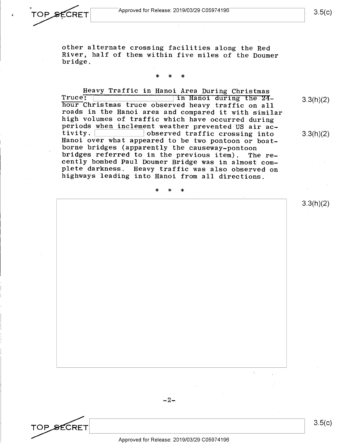·<br>TOP SECRET Approved for Release: 2019/03/29 C05974196 **TOP SECRET** Approved for Release: 2019/03/29 C05974196 3.5(c)

> other alternate crossing facilities along the Red River, half of them within five miles of the Doumer bridge.

## \* \* \*

Heavy Traffic in Hanoi Area During Christmas<br>Truce: In Hanoi during the 24hour Christmas truce observed heavy traffic on all roads in the Hanoi area and compared it with similar high volumes of traffic which have occurred during periods when inclement weather prevented US air ac-<br>tivity. solution observed traffic crossing into tivity. observed traffic crossing into<br>Hanoi over what appeared to be two pontoon or boatborne bridges (apparently the causeway-pontoon<br>bridges referred to in the previous item). The rebridges referred to in the previous item). cently bombed Paul Doumer Bridge was in almost complete darkness. Heavy traffic was also observed on highways leading into Hanoi from all directions.

\* \* \*

3.3(h)(2)

3.3(h)(2)

3.3(h)(2)

 $-2-$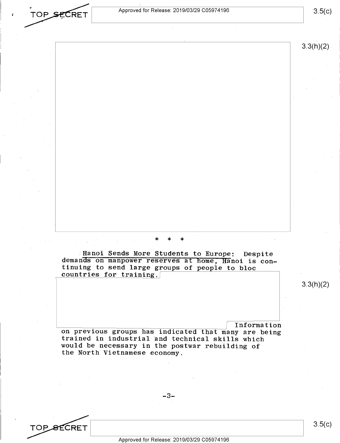Approved for Release: 2019/03/29 C0597 4196

TOP SECRET

TOP\_<del>S</del>ECRET

 $3.5(c)$ 

 $3.3(h)(2)$ 

## \* \* \*

Hanoi Sends More Students to Europe: Despite demands on manpower reserves at home, Hanoi is continuing to send large groups of people to bloc countries for training.

3.3(h)(2)

on previous groups has indicated that many are being trained in industrial and technical skills which would be necessary in the postwar rebuilding of the North Vietnamese economy.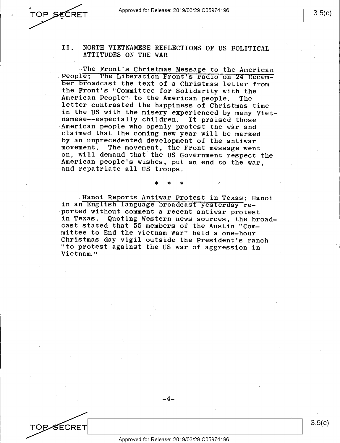'OF

SECRET

### II. NORTH VIETNAMESE REFLECTIONS OF US POLITICAL ATTITUDES ON THE WAR

The Front's Christmas Message to the American People: The Liberation Front's radio on 24 December broadcast the text of a Christmas letter from the Front's "Committee for Solidarity with the American People" to the American people. The letter contrasted the happiness of Christmas time in the US with the misery experienced by many Vietnamese--especially children. It praised those American people who openly protest the war and claimed that the coming new year will be marked by an unprecedented development of the antiwar movement. The movement, the Front message went on, will demand that the US Government respect the American people's wishes, put an end to the war, and repatriate all US troops.

Hanoi Reports Antiwar Protest in Texas: Hanoi in an English language broadcast yesterday reported without comment a recent antiwar protest<br>in Texas. Quoting Western news sources, the bre Quoting Western news sources, the broadcast stated that 55 members of the Austin "Committee to End the Vietnam War" held a one-hour Christmas day vigil outside the President's ranch "to protest against the US war of aggression in Vietnam."

\* \* \*

-4-

3.5(c)